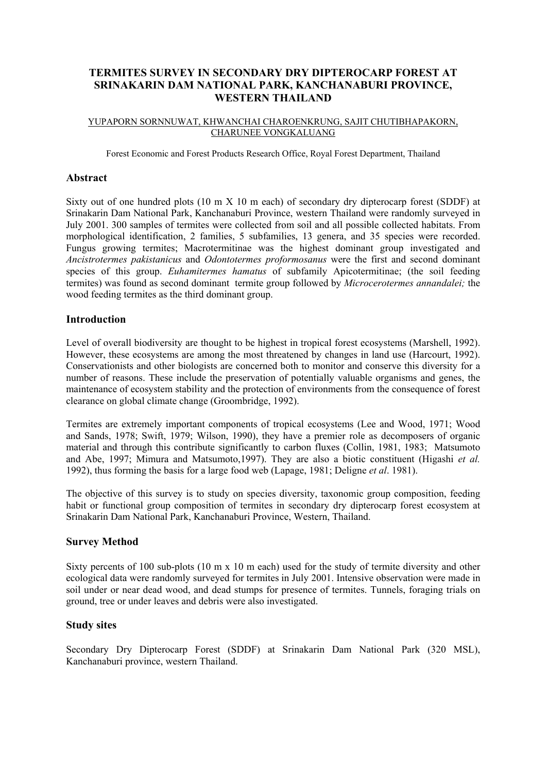# **TERMITES SURVEY IN SECONDARY DRY DIPTEROCARP FOREST AT SRINAKARIN DAM NATIONAL PARK, KANCHANABURI PROVINCE, WESTERN THAILAND**

#### YUPAPORN SORNNUWAT, KHWANCHAI CHAROENKRUNG, SAJIT CHUTIBHAPAKORN, CHARUNEE VONGKALUANG

Forest Economic and Forest Products Research Office, Royal Forest Department, Thailand

### **Abstract**

Sixty out of one hundred plots (10 m X 10 m each) of secondary dry dipterocarp forest (SDDF) at Srinakarin Dam National Park, Kanchanaburi Province, western Thailand were randomly surveyed in July 2001. 300 samples of termites were collected from soil and all possible collected habitats. From morphological identification, 2 families, 5 subfamilies, 13 genera, and 35 species were recorded. Fungus growing termites; Macrotermitinae was the highest dominant group investigated and *Ancistrotermes pakistanicus* and *Odontotermes proformosanus* were the first and second dominant species of this group. *Euhamitermes hamatus* of subfamily Apicotermitinae; (the soil feeding termites) was found as second dominant termite group followed by *Microcerotermes annandalei;* the wood feeding termites as the third dominant group.

## **Introduction**

Level of overall biodiversity are thought to be highest in tropical forest ecosystems (Marshell, 1992). However, these ecosystems are among the most threatened by changes in land use (Harcourt, 1992). Conservationists and other biologists are concerned both to monitor and conserve this diversity for a number of reasons. These include the preservation of potentially valuable organisms and genes, the maintenance of ecosystem stability and the protection of environments from the consequence of forest clearance on global climate change (Groombridge, 1992).

Termites are extremely important components of tropical ecosystems (Lee and Wood, 1971; Wood and Sands, 1978; Swift, 1979; Wilson, 1990), they have a premier role as decomposers of organic material and through this contribute significantly to carbon fluxes (Collin, 1981, 1983; Matsumoto and Abe, 1997; Mimura and Matsumoto,1997). They are also a biotic constituent (Higashi *et al.* 1992), thus forming the basis for a large food web (Lapage, 1981; Deligne *et al*. 1981).

The objective of this survey is to study on species diversity, taxonomic group composition, feeding habit or functional group composition of termites in secondary dry dipterocarp forest ecosystem at Srinakarin Dam National Park, Kanchanaburi Province, Western, Thailand.

### **Survey Method**

Sixty percents of 100 sub-plots (10 m x 10 m each) used for the study of termite diversity and other ecological data were randomly surveyed for termites in July 2001. Intensive observation were made in soil under or near dead wood, and dead stumps for presence of termites. Tunnels, foraging trials on ground, tree or under leaves and debris were also investigated.

## **Study sites**

Secondary Dry Dipterocarp Forest (SDDF) at Srinakarin Dam National Park (320 MSL), Kanchanaburi province, western Thailand.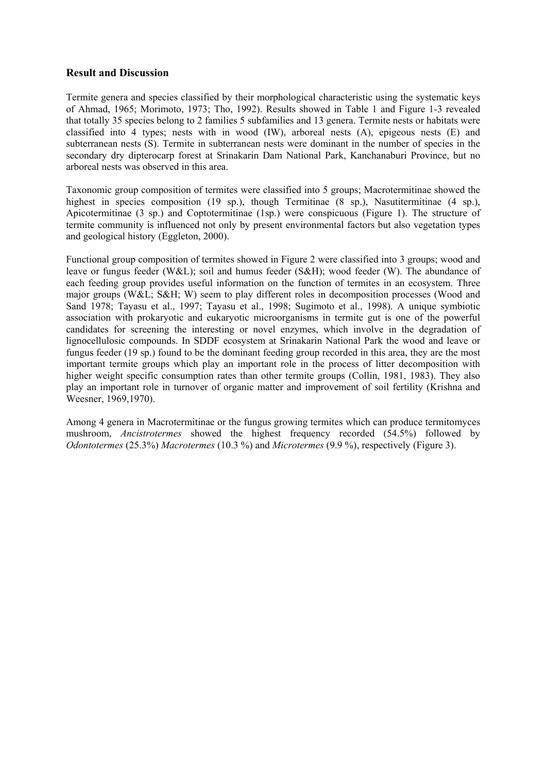## **Result and Discussion**

Termite genera and species classified by their morphological characteristic using the systematic keys of Ahmad, 1965; Morimoto, 1973; Tho, 1992). Results showed in Table 1 and Figure 1-3 revealed that totally 35 species belong to 2 families 5 subfamilies and 13 genera. Termite nests or habitats were classified into 4 types; nests with in wood (IW), arboreal nests (A), epigeous nests (E) and subterranean nests (S). Termite in subterranean nests were dominant in the number of species in the secondary dry dipterocarp forest at Srinakarin Dam National Park, Kanchanaburi Province, but no arboreal nests was observed in this area.

Taxonomic group composition of termites were classified into 5 groups; Macrotermitinae showed the highest in species composition (19 sp.), though Termitinae (8 sp.), Nasutitermitinae (4 sp.), Apicotermitinae (3 sp.) and Coptotermitinae (1sp.) were conspicuous (Figure 1). The structure of termite community is influenced not only by present environmental factors but also vegetation types and geological history (Eggleton, 2000).

Functional group composition of termites showed in Figure 2 were classified into 3 groups; wood and leave or fungus feeder (W&L); soil and humus feeder (S&H); wood feeder (W). The abundance of each feeding group provides useful information on the function of termites in an ecosystem. Three major groups (W&L; S&H; W) seem to play different roles in decomposition processes (Wood and Sand 1978; Tayasu et al., 1997; Tayasu et al., 1998; Sugimoto et al., 1998). A unique symbiotic association with prokaryotic and eukaryotic microorganisms in termite gut is one of the powerful candidates for screening the interesting or novel enzymes, which involve in the degradation of lignocellulosic compounds. In SDDF ecosystem at Srinakarin National Park the wood and leave or fungus feeder (19 sp.) found to be the dominant feeding group recorded in this area, they are the most important termite groups which play an important role in the process of litter decomposition with higher weight specific consumption rates than other termite groups (Collin, 1981, 1983). They also play an important role in turnover of organic matter and improvement of soil fertility (Krishna and Weesner, 1969,1970).

Among 4 genera in Macrotermitinae or the fungus growing termites which can produce termitomyces mushroom, *Ancistrotermes* showed the highest frequency recorded (54.5%) followed by *Odontotermes* (25.3%) *Macrotermes* (10.3 %) and *Microtermes* (9.9 %), respectively (Figure 3).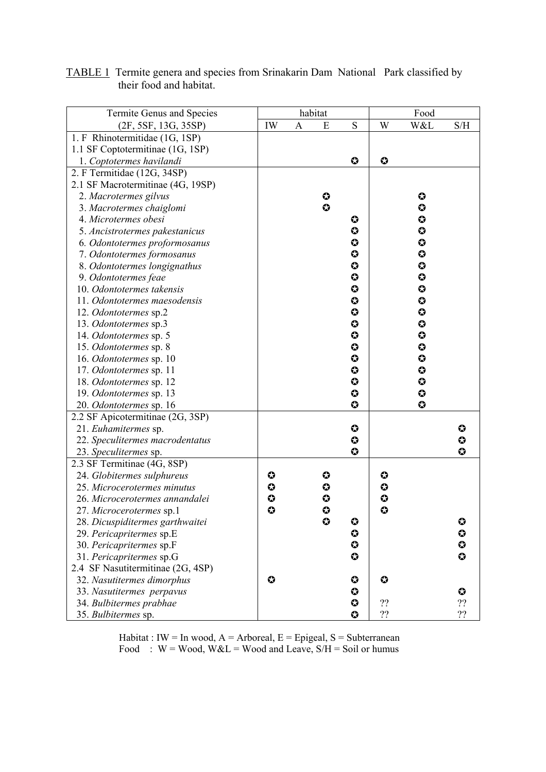| Termite Genus and Species                            |                     | habitat |                       |                        | Food      |                       |                        |
|------------------------------------------------------|---------------------|---------|-----------------------|------------------------|-----------|-----------------------|------------------------|
| (2F, 5SF, 13G, 35SP)                                 | IW                  | A       | E                     | S                      | W         | W&L                   | S/H                    |
| 1. F Rhinotermitidae (1G, 1SP)                       |                     |         |                       |                        |           |                       |                        |
| 1.1 SF Coptotermitinae (1G, 1SP)                     |                     |         |                       |                        |           |                       |                        |
| 1. Coptotermes havilandi                             |                     |         |                       | $\bf{O}$               | $\bullet$ |                       |                        |
| 2. F Termitidae (12G, 34SP)                          |                     |         |                       |                        |           |                       |                        |
| 2.1 SF Macrotermitinae (4G, 19SP)                    |                     |         |                       |                        |           |                       |                        |
| 2. Macrotermes gilvus                                |                     |         | ♦                     |                        |           | $\bullet$             |                        |
| 3. Macrotermes chaiglomi                             |                     |         | $\bullet$             |                        |           | $\bullet$             |                        |
| 4. Microtermes obesi                                 |                     |         |                       | ✿                      |           | $\bullet$             |                        |
| 5. Ancistrotermes pakestanicus                       |                     |         |                       | $\boldsymbol{\omega}$  |           | $\bullet$             |                        |
| 6. Odontotermes proformosanus                        |                     |         |                       | $\bullet$              |           | $\bf{O}$              |                        |
| 7. Odontotermes formosanus                           |                     |         |                       | $\bf{O}$               |           | ♦                     |                        |
| 8. Odontotermes longignathus                         |                     |         |                       | $\bullet$              |           | $\bf{O}$              |                        |
| 9. Odontotermes feae                                 |                     |         |                       | $\boldsymbol{\omega}$  |           | $\boldsymbol{\omega}$ |                        |
| 10. Odontotermes takensis                            |                     |         |                       | $\bullet$              |           | ♦                     |                        |
| 11. Odontotermes maesodensis                         |                     |         |                       | $\bf{O}$               |           | ♦                     |                        |
| 12. Odontotermes sp.2                                |                     |         |                       | $\boldsymbol{\omega}$  |           | $\bullet$             |                        |
| 13. Odontotermes sp.3                                |                     |         |                       | $\bullet$              |           | $\boldsymbol{\omega}$ |                        |
| 14. Odontotermes sp. 5                               |                     |         |                       | $\bullet$              |           | $\bullet$             |                        |
| 15. Odontotermes sp. 8                               |                     |         |                       | $\bullet$              |           | $\bf{O}$              |                        |
| 16. Odontotermes sp. 10                              |                     |         |                       | $\boldsymbol{\omega}$  |           | ♦                     |                        |
| 17. Odontotermes sp. 11                              |                     |         |                       | $\bullet$              |           | $\boldsymbol{\omega}$ |                        |
| 18. Odontotermes sp. 12                              |                     |         |                       | $\boldsymbol{\omega}$  |           | $\bullet$             |                        |
| 19. Odontotermes sp. 13                              |                     |         |                       | $\bullet$              |           | $\bullet$             |                        |
| 20. Odontotermes sp. 16                              |                     |         |                       | $\bullet$              |           | $\bullet$             |                        |
| 2.2 SF Apicotermitinae (2G, 3SP)                     |                     |         |                       |                        |           |                       |                        |
| 21. Euhamitermes sp.                                 |                     |         |                       | $\boldsymbol{\omega}$  |           |                       | ✿                      |
| 22. Speculitermes macrodentatus                      |                     |         |                       | $\bullet$              |           |                       | ✿                      |
| 23. Speculitermes sp.                                |                     |         |                       | $\bullet$              |           |                       | $\bullet$              |
| 2.3 SF Termitinae (4G, 8SP)                          |                     |         |                       |                        |           |                       |                        |
| 24. Globitermes sulphureus                           | $\bf{O}$            |         | ♦                     |                        | ✿         |                       |                        |
| 25. Microcerotermes minutus                          | $\bf{O}$            |         | ♦                     |                        | ♦         |                       |                        |
| 26. Microcerotermes annandalei                       | ♦                   |         | ✿                     |                        | ♦         |                       |                        |
| 27. Microcerotermes sp.1                             | $\ddot{\mathbf{c}}$ |         | $\bullet$             |                        | $\bullet$ |                       |                        |
| 28. Dicuspiditermes garthwaitei                      |                     |         | $\boldsymbol{\omega}$ | ✿                      |           |                       | ♦                      |
| 29. Pericapritermes sp.E                             |                     |         |                       | $\bullet$<br>$\bullet$ |           |                       | $\bullet$              |
| 30. Pericapritermes sp.F                             |                     |         |                       | $\bullet$              |           |                       | $\bullet$<br>$\bullet$ |
| 31. Pericapritermes sp.G                             |                     |         |                       |                        |           |                       |                        |
| 2.4 SF Nasutitermitinae (2G, 4SP)                    | $\bf{O}$            |         |                       | $\bullet$              | $\bf{O}$  |                       |                        |
| 32. Nasutitermes dimorphus                           |                     |         |                       | $\bullet$              |           |                       | ♦                      |
| 33. Nasutitermes perpavus<br>34. Bulbitermes prabhae |                     |         |                       | $\bullet$              | ??        |                       | ??                     |
| 35. Bulbitermes sp.                                  |                     |         |                       | $\bullet$              | ??        |                       | ??                     |
|                                                      |                     |         |                       |                        |           |                       |                        |

TABLE 1 Termite genera and species from Srinakarin Dam National Park classified by their food and habitat.

Habitat : IW = In wood,  $A =$  Arboreal,  $E =$  Epigeal,  $S =$  Subterranean Food :  $W = Wood$ ,  $W&L = Wood$  and Leave,  $S/H = Solid$  or humus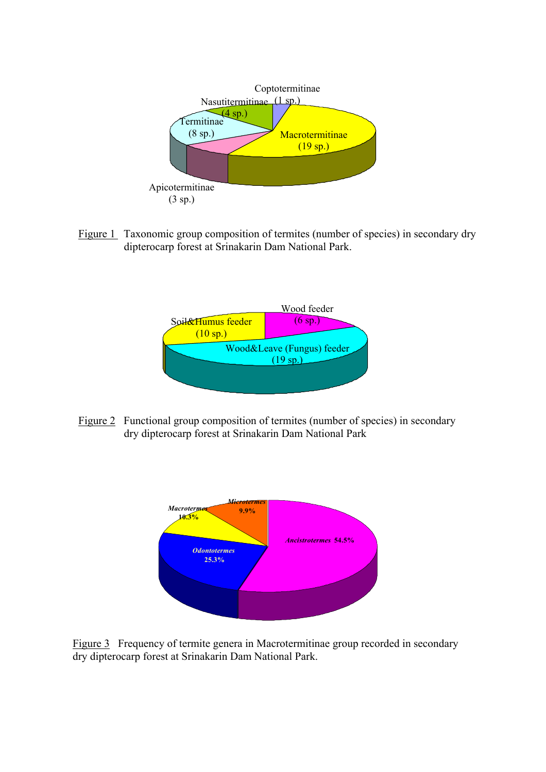

Figure 1 Taxonomic group composition of termites (number of species) in secondary dry dipterocarp forest at Srinakarin Dam National Park.



Figure 2 Functional group composition of termites (number of species) in secondary dry dipterocarp forest at Srinakarin Dam National Park



Figure 3 Frequency of termite genera in Macrotermitinae group recorded in secondary dry dipterocarp forest at Srinakarin Dam National Park.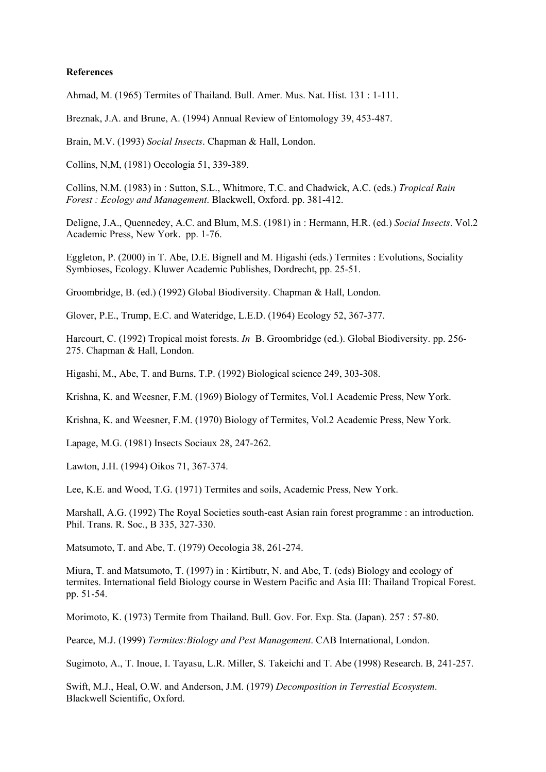#### **References**

Ahmad, M. (1965) Termites of Thailand. Bull. Amer. Mus. Nat. Hist. 131 : 1-111.

Breznak, J.A. and Brune, A. (1994) Annual Review of Entomology 39, 453-487.

Brain, M.V. (1993) *Social Insects*. Chapman & Hall, London.

Collins, N,M, (1981) Oecologia 51, 339-389.

Collins, N.M. (1983) in : Sutton, S.L., Whitmore, T.C. and Chadwick, A.C. (eds.) *Tropical Rain Forest : Ecology and Management*. Blackwell, Oxford. pp. 381-412.

Deligne, J.A., Quennedey, A.C. and Blum, M.S. (1981) in : Hermann, H.R. (ed.) *Social Insects*. Vol.2 Academic Press, New York. pp. 1-76.

Eggleton, P. (2000) in T. Abe, D.E. Bignell and M. Higashi (eds.) Termites : Evolutions, Sociality Symbioses, Ecology. Kluwer Academic Publishes, Dordrecht, pp. 25-51.

Groombridge, B. (ed.) (1992) Global Biodiversity. Chapman & Hall, London.

Glover, P.E., Trump, E.C. and Wateridge, L.E.D. (1964) Ecology 52, 367-377.

Harcourt, C. (1992) Tropical moist forests. *In* B. Groombridge (ed.). Global Biodiversity. pp. 256- 275. Chapman & Hall, London.

Higashi, M., Abe, T. and Burns, T.P. (1992) Biological science 249, 303-308.

Krishna, K. and Weesner, F.M. (1969) Biology of Termites, Vol.1 Academic Press, New York.

Krishna, K. and Weesner, F.M. (1970) Biology of Termites, Vol.2 Academic Press, New York.

Lapage, M.G. (1981) Insects Sociaux 28, 247-262.

Lawton, J.H. (1994) Oikos 71, 367-374.

Lee, K.E. and Wood, T.G. (1971) Termites and soils, Academic Press, New York.

Marshall, A.G. (1992) The Royal Societies south-east Asian rain forest programme : an introduction. Phil. Trans. R. Soc., B 335, 327-330.

Matsumoto, T. and Abe, T. (1979) Oecologia 38, 261-274.

Miura, T. and Matsumoto, T. (1997) in : Kirtibutr, N. and Abe, T. (eds) Biology and ecology of termites. International field Biology course in Western Pacific and Asia III: Thailand Tropical Forest. pp. 51-54.

Morimoto, K. (1973) Termite from Thailand. Bull. Gov. For. Exp. Sta. (Japan). 257 : 57-80.

Pearce, M.J. (1999) *Termites:Biology and Pest Management*. CAB International, London.

Sugimoto, A., T. Inoue, I. Tayasu, L.R. Miller, S. Takeichi and T. Abe (1998) Research. B, 241-257.

Swift, M.J., Heal, O.W. and Anderson, J.M. (1979) *Decomposition in Terrestial Ecosystem*. Blackwell Scientific, Oxford.